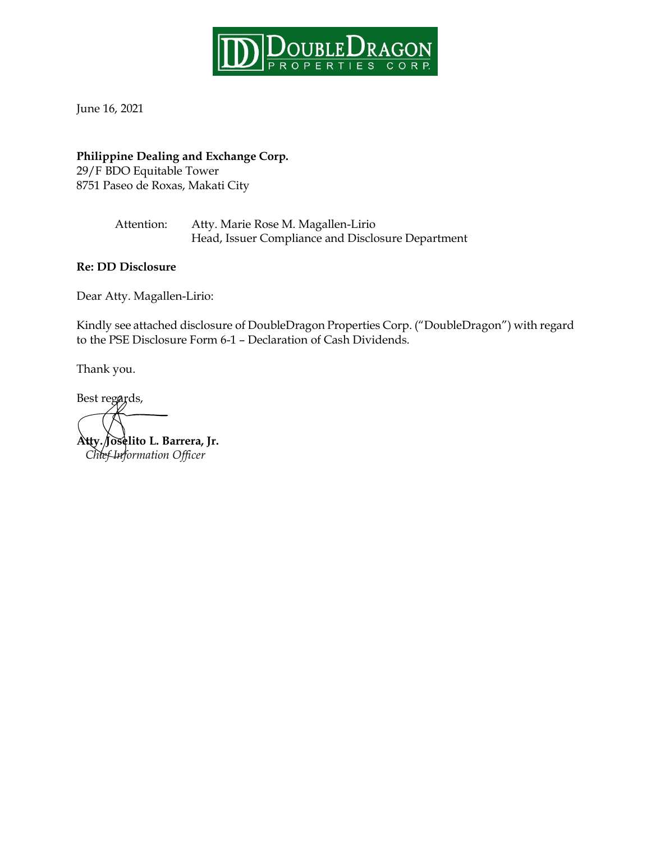

June 16, 2021

## **Philippine Dealing and Exchange Corp.**

29/F BDO Equitable Tower 8751 Paseo de Roxas, Makati City

> Attention: Atty. Marie Rose M. Magallen-Lirio Head, Issuer Compliance and Disclosure Department

### **Re: DD Disclosure**

Dear Atty. Magallen-Lirio:

Kindly see attached disclosure of DoubleDragon Properties Corp. ("DoubleDragon") with regard to the PSE Disclosure Form 6-1 – Declaration of Cash Dividends.

Thank you.

Best regards, **Atty. Joselito L. Barrera, Jr.**  *Chief Information Officer*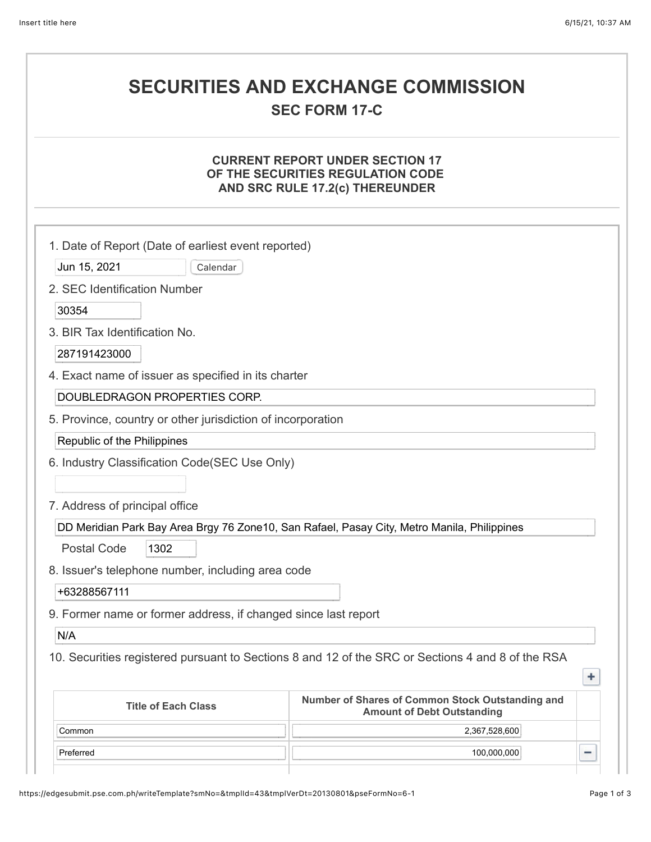# **SECURITIES AND EXCHANGE COMMISSION**

# **SEC FORM 17-C**

#### **CURRENT REPORT UNDER SECTION 17 OF THE SECURITIES REGULATION CODE AND SRC RULE 17.2(c) THEREUNDER**

| 1. Date of Report (Date of earliest event reported)                                                                 |               |   |  |  |
|---------------------------------------------------------------------------------------------------------------------|---------------|---|--|--|
| Jun 15, 2021<br>Calendar                                                                                            |               |   |  |  |
| 2. SEC Identification Number                                                                                        |               |   |  |  |
|                                                                                                                     |               |   |  |  |
| 30354                                                                                                               |               |   |  |  |
| 3. BIR Tax Identification No.                                                                                       |               |   |  |  |
| 287191423000                                                                                                        |               |   |  |  |
| 4. Exact name of issuer as specified in its charter                                                                 |               |   |  |  |
| DOUBLEDRAGON PROPERTIES CORP.                                                                                       |               |   |  |  |
| 5. Province, country or other jurisdiction of incorporation                                                         |               |   |  |  |
| Republic of the Philippines                                                                                         |               |   |  |  |
| 6. Industry Classification Code(SEC Use Only)                                                                       |               |   |  |  |
|                                                                                                                     |               |   |  |  |
| 7. Address of principal office                                                                                      |               |   |  |  |
| DD Meridian Park Bay Area Brgy 76 Zone10, San Rafael, Pasay City, Metro Manila, Philippines                         |               |   |  |  |
| <b>Postal Code</b><br>1302                                                                                          |               |   |  |  |
| 8. Issuer's telephone number, including area code                                                                   |               |   |  |  |
| +63288567111                                                                                                        |               |   |  |  |
| 9. Former name or former address, if changed since last report                                                      |               |   |  |  |
| N/A                                                                                                                 |               |   |  |  |
| 10. Securities registered pursuant to Sections 8 and 12 of the SRC or Sections 4 and 8 of the RSA                   |               |   |  |  |
| ٠                                                                                                                   |               |   |  |  |
| Number of Shares of Common Stock Outstanding and<br><b>Title of Each Class</b><br><b>Amount of Debt Outstanding</b> |               |   |  |  |
| Common                                                                                                              | 2,367,528,600 |   |  |  |
| Preferred                                                                                                           | 100,000,000   | π |  |  |
|                                                                                                                     |               |   |  |  |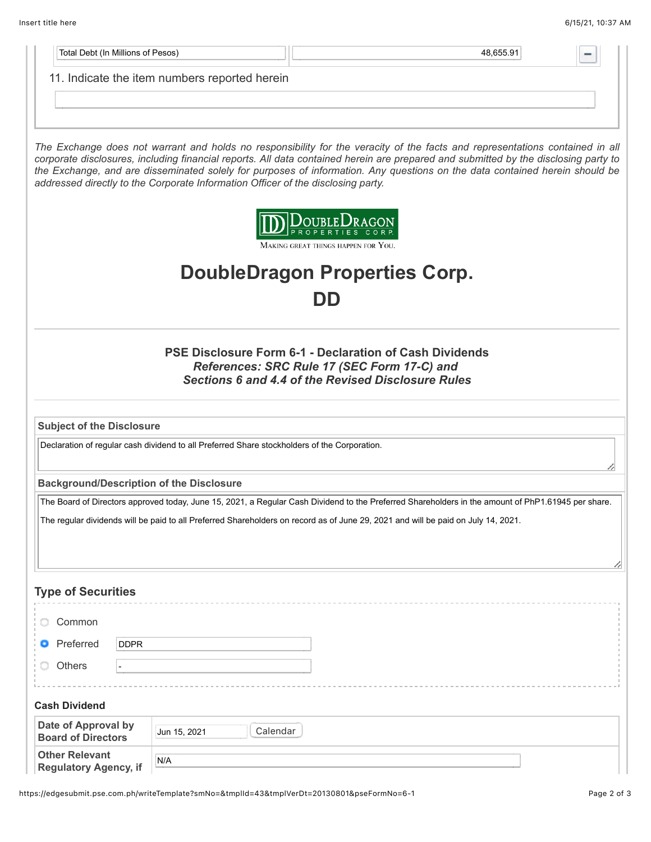| Total Debt (In Millions of Pesos)                                                                                                                                   |                                                                                                                                                    | 48,655.91                                                                                                                                                                                                                                                                                                                                                                                          |  |  |  |
|---------------------------------------------------------------------------------------------------------------------------------------------------------------------|----------------------------------------------------------------------------------------------------------------------------------------------------|----------------------------------------------------------------------------------------------------------------------------------------------------------------------------------------------------------------------------------------------------------------------------------------------------------------------------------------------------------------------------------------------------|--|--|--|
|                                                                                                                                                                     | 11. Indicate the item numbers reported herein                                                                                                      |                                                                                                                                                                                                                                                                                                                                                                                                    |  |  |  |
|                                                                                                                                                                     |                                                                                                                                                    |                                                                                                                                                                                                                                                                                                                                                                                                    |  |  |  |
|                                                                                                                                                                     |                                                                                                                                                    |                                                                                                                                                                                                                                                                                                                                                                                                    |  |  |  |
|                                                                                                                                                                     |                                                                                                                                                    |                                                                                                                                                                                                                                                                                                                                                                                                    |  |  |  |
|                                                                                                                                                                     | addressed directly to the Corporate Information Officer of the disclosing party.                                                                   | The Exchange does not warrant and holds no responsibility for the veracity of the facts and representations contained in all<br>corporate disclosures, including financial reports. All data contained herein are prepared and submitted by the disclosing party to<br>the Exchange, and are disseminated solely for purposes of information. Any questions on the data contained herein should be |  |  |  |
|                                                                                                                                                                     |                                                                                                                                                    | OUBLEDRAGON<br>MAKING GREAT THINGS HAPPEN FOR YOU.                                                                                                                                                                                                                                                                                                                                                 |  |  |  |
|                                                                                                                                                                     | <b>DoubleDragon Properties Corp.</b>                                                                                                               |                                                                                                                                                                                                                                                                                                                                                                                                    |  |  |  |
| DD                                                                                                                                                                  |                                                                                                                                                    |                                                                                                                                                                                                                                                                                                                                                                                                    |  |  |  |
| <b>PSE Disclosure Form 6-1 - Declaration of Cash Dividends</b><br>References: SRC Rule 17 (SEC Form 17-C) and<br>Sections 6 and 4.4 of the Revised Disclosure Rules |                                                                                                                                                    |                                                                                                                                                                                                                                                                                                                                                                                                    |  |  |  |
| <b>Subject of the Disclosure</b>                                                                                                                                    |                                                                                                                                                    |                                                                                                                                                                                                                                                                                                                                                                                                    |  |  |  |
| Declaration of regular cash dividend to all Preferred Share stockholders of the Corporation.                                                                        |                                                                                                                                                    |                                                                                                                                                                                                                                                                                                                                                                                                    |  |  |  |
| <b>Background/Description of the Disclosure</b>                                                                                                                     |                                                                                                                                                    |                                                                                                                                                                                                                                                                                                                                                                                                    |  |  |  |
|                                                                                                                                                                     | The Board of Directors approved today, June 15, 2021, a Regular Cash Dividend to the Preferred Shareholders in the amount of PhP1.61945 per share. |                                                                                                                                                                                                                                                                                                                                                                                                    |  |  |  |
| The regular dividends will be paid to all Preferred Shareholders on record as of June 29, 2021 and will be paid on July 14, 2021.                                   |                                                                                                                                                    |                                                                                                                                                                                                                                                                                                                                                                                                    |  |  |  |
|                                                                                                                                                                     |                                                                                                                                                    |                                                                                                                                                                                                                                                                                                                                                                                                    |  |  |  |
|                                                                                                                                                                     |                                                                                                                                                    |                                                                                                                                                                                                                                                                                                                                                                                                    |  |  |  |
| <b>Type of Securities</b>                                                                                                                                           |                                                                                                                                                    |                                                                                                                                                                                                                                                                                                                                                                                                    |  |  |  |
| Common                                                                                                                                                              |                                                                                                                                                    |                                                                                                                                                                                                                                                                                                                                                                                                    |  |  |  |
| Preferred<br><b>DDPR</b>                                                                                                                                            |                                                                                                                                                    |                                                                                                                                                                                                                                                                                                                                                                                                    |  |  |  |
| Others                                                                                                                                                              |                                                                                                                                                    |                                                                                                                                                                                                                                                                                                                                                                                                    |  |  |  |
|                                                                                                                                                                     |                                                                                                                                                    |                                                                                                                                                                                                                                                                                                                                                                                                    |  |  |  |
| <b>Cash Dividend</b>                                                                                                                                                |                                                                                                                                                    |                                                                                                                                                                                                                                                                                                                                                                                                    |  |  |  |
| Date of Approval by<br><b>Board of Directors</b>                                                                                                                    | Calendar<br>Jun 15, 2021                                                                                                                           |                                                                                                                                                                                                                                                                                                                                                                                                    |  |  |  |
| <b>Other Relevant</b><br><b>Regulatory Agency, if</b>                                                                                                               | N/A                                                                                                                                                |                                                                                                                                                                                                                                                                                                                                                                                                    |  |  |  |